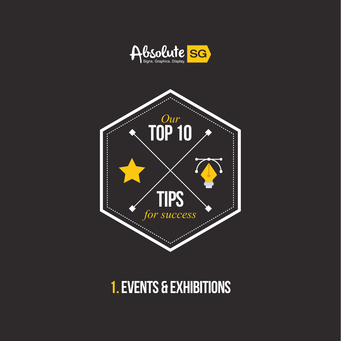



#### **1. Events & exhibitions**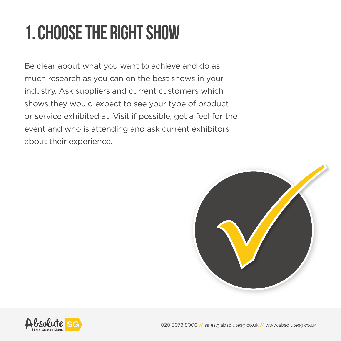# **1. Choose the right show**

Be clear about what you want to achieve and do as much research as you can on the best shows in your industry. Ask suppliers and current customers which shows they would expect to see your type of product or service exhibited at. Visit if possible, get a feel for the event and who is attending and ask current exhibitors about their experience.



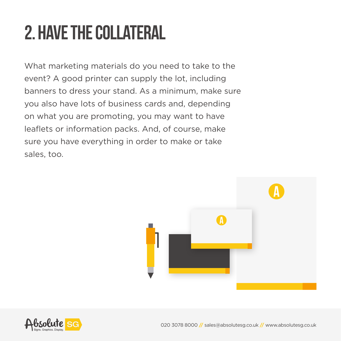# **2. Have the collateral**

What marketing materials do you need to take to the event? A good printer can supply the lot, including banners to dress your stand. As a minimum, make sure you also have lots of business cards and, depending on what you are promoting, you may want to have leaflets or information packs. And, of course, make sure you have everything in order to make or take sales, too.



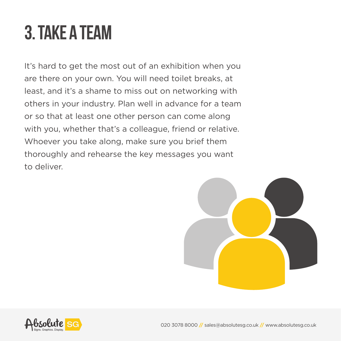#### **3. Take a team**

It's hard to get the most out of an exhibition when you are there on your own. You will need toilet breaks, at least, and it's a shame to miss out on networking with others in your industry. Plan well in advance for a team or so that at least one other person can come along with you, whether that's a colleague, friend or relative. Whoever you take along, make sure you brief them thoroughly and rehearse the key messages you want to deliver.



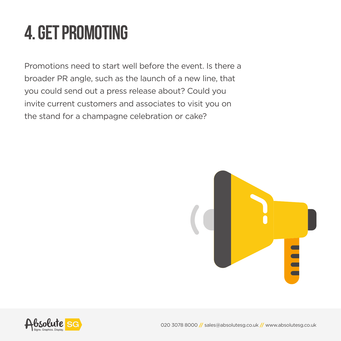# **4. Get promoting**

Promotions need to start well before the event. Is there a broader PR angle, such as the launch of a new line, that you could send out a press release about? Could you invite current customers and associates to visit you on the stand for a champagne celebration or cake?



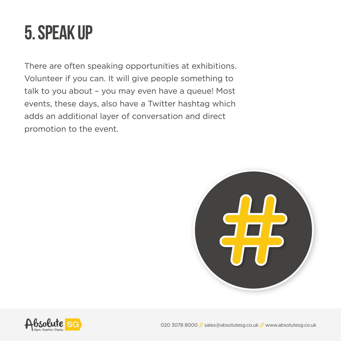#### **5. Speak up**

There are often speaking opportunities at exhibitions. Volunteer if you can. It will give people something to talk to you about – you may even have a queue! Most events, these days, also have a Twitter hashtag which adds an additional layer of conversation and direct promotion to the event.



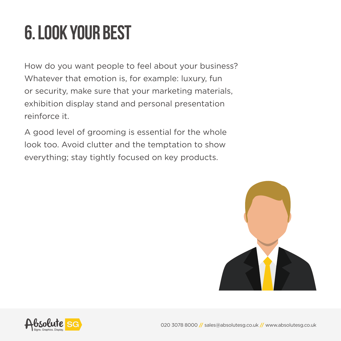# **6. Look your best**

How do you want people to feel about your business? Whatever that emotion is, for example: luxury, fun or security, make sure that your marketing materials, exhibition display stand and personal presentation reinforce it.

A good level of grooming is essential for the whole look too. Avoid clutter and the temptation to show everything; stay tightly focused on key products.



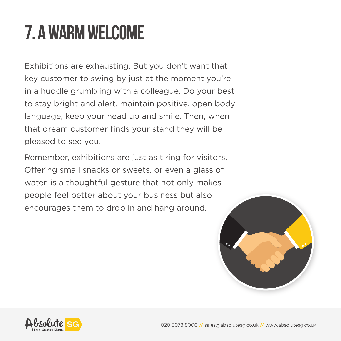# **7. A warm welcome**

Exhibitions are exhausting. But you don't want that key customer to swing by just at the moment you're in a huddle grumbling with a colleague. Do your best to stay bright and alert, maintain positive, open body language, keep your head up and smile. Then, when that dream customer finds your stand they will be pleased to see you.

Remember, exhibitions are just as tiring for visitors. Offering small snacks or sweets, or even a glass of water, is a thoughtful gesture that not only makes people feel better about your business but also encourages them to drop in and hang around.



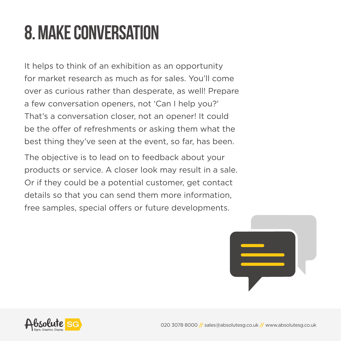# **8. Make conversation**

It helps to think of an exhibition as an opportunity for market research as much as for sales. You'll come over as curious rather than desperate, as well! Prepare a few conversation openers, not 'Can I help you?' That's a conversation closer, not an opener! It could be the offer of refreshments or asking them what the best thing they've seen at the event, so far, has been.

The objective is to lead on to feedback about your products or service. A closer look may result in a sale. Or if they could be a potential customer, get contact details so that you can send them more information, free samples, special offers or future developments.



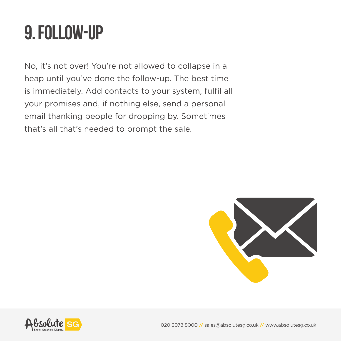#### **9. Follow-up**

No, it's not over! You're not allowed to collapse in a heap until you've done the follow-up. The best time is immediately. Add contacts to your system, fulfil all your promises and, if nothing else, send a personal email thanking people for dropping by. Sometimes that's all that's needed to prompt the sale.



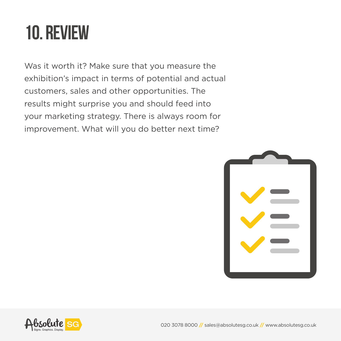#### **10. Review**

Was it worth it? Make sure that you measure the exhibition's impact in terms of potential and actual customers, sales and other opportunities. The results might surprise you and should feed into your marketing strategy. There is always room for improvement. What will you do better next time?